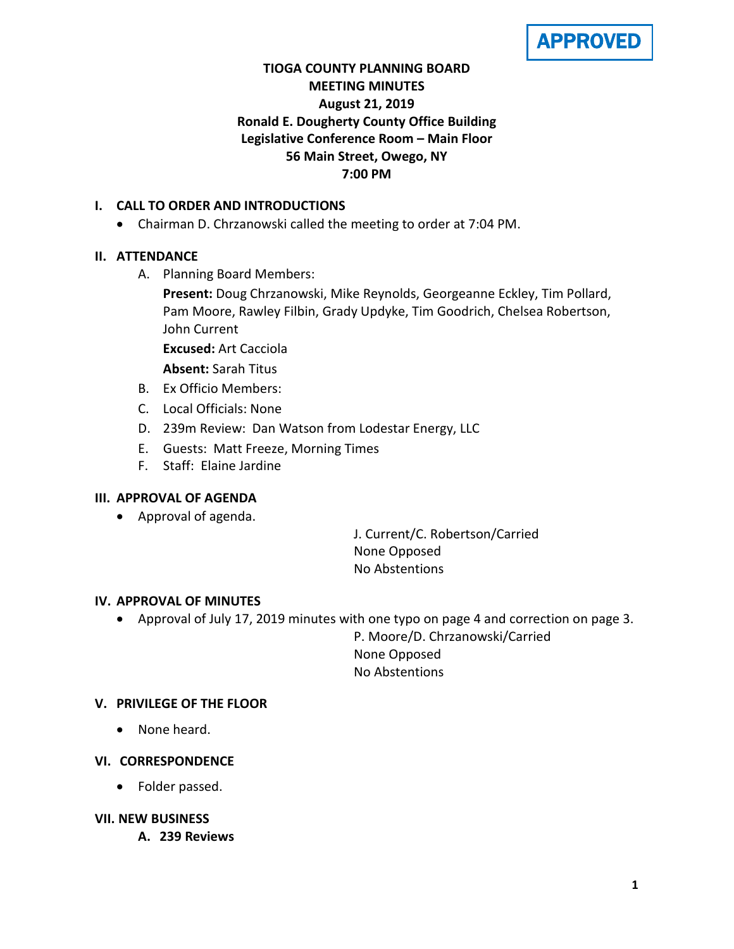APPROVED

# **TIOGA COUNTY PLANNING BOARD MEETING MINUTES August 21, 2019 Ronald E. Dougherty County Office Building Legislative Conference Room – Main Floor 56 Main Street, Owego, NY 7:00 PM**

## **I. CALL TO ORDER AND INTRODUCTIONS**

• Chairman D. Chrzanowski called the meeting to order at 7:04 PM.

# **II. ATTENDANCE**

A. Planning Board Members:

**Present:** Doug Chrzanowski, Mike Reynolds, Georgeanne Eckley, Tim Pollard, Pam Moore, Rawley Filbin, Grady Updyke, Tim Goodrich, Chelsea Robertson, John Current

**Excused:** Art Cacciola

**Absent:** Sarah Titus

- B. Ex Officio Members:
- C. Local Officials: None
- D. 239m Review: Dan Watson from Lodestar Energy, LLC
- E. Guests: Matt Freeze, Morning Times
- F. Staff: Elaine Jardine

## **III. APPROVAL OF AGENDA**

• Approval of agenda.

J. Current/C. Robertson/Carried None Opposed No Abstentions

#### **IV. APPROVAL OF MINUTES**

• Approval of July 17, 2019 minutes with one typo on page 4 and correction on page 3.

P. Moore/D. Chrzanowski/Carried None Opposed No Abstentions

## **V. PRIVILEGE OF THE FLOOR**

• None heard.

## **VI. CORRESPONDENCE**

• Folder passed.

## **VII. NEW BUSINESS**

**A. 239 Reviews**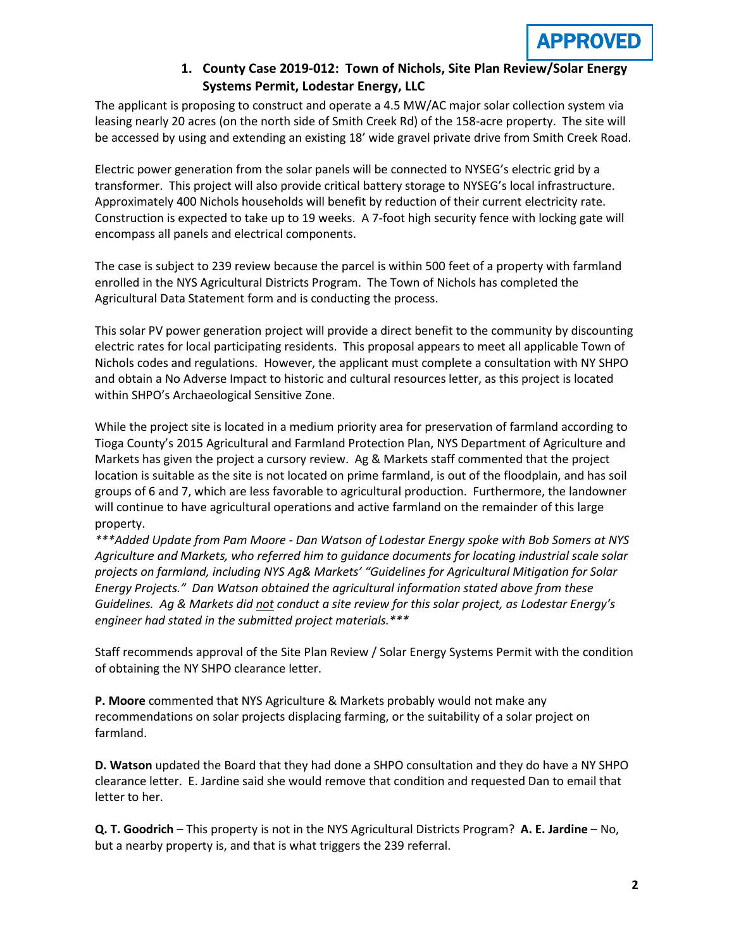

## **1. County Case 2019-012: Town of Nichols, Site Plan Review/Solar Energy Systems Permit, Lodestar Energy, LLC**

The applicant is proposing to construct and operate a 4.5 MW/AC major solar collection system via leasing nearly 20 acres (on the north side of Smith Creek Rd) of the 158-acre property. The site will be accessed by using and extending an existing 18' wide gravel private drive from Smith Creek Road.

Electric power generation from the solar panels will be connected to NYSEG's electric grid by a transformer. This project will also provide critical battery storage to NYSEG's local infrastructure. Approximately 400 Nichols households will benefit by reduction of their current electricity rate. Construction is expected to take up to 19 weeks. A 7-foot high security fence with locking gate will encompass all panels and electrical components.

The case is subject to 239 review because the parcel is within 500 feet of a property with farmland enrolled in the NYS Agricultural Districts Program. The Town of Nichols has completed the Agricultural Data Statement form and is conducting the process.

This solar PV power generation project will provide a direct benefit to the community by discounting electric rates for local participating residents. This proposal appears to meet all applicable Town of Nichols codes and regulations. However, the applicant must complete a consultation with NY SHPO and obtain a No Adverse Impact to historic and cultural resources letter, as this project is located within SHPO's Archaeological Sensitive Zone.

While the project site is located in a medium priority area for preservation of farmland according to Tioga County's 2015 Agricultural and Farmland Protection Plan, NYS Department of Agriculture and Markets has given the project a cursory review. Ag & Markets staff commented that the project location is suitable as the site is not located on prime farmland, is out of the floodplain, and has soil groups of 6 and 7, which are less favorable to agricultural production. Furthermore, the landowner will continue to have agricultural operations and active farmland on the remainder of this large property.

*\*\*\*Added Update from Pam Moore - Dan Watson of Lodestar Energy spoke with Bob Somers at NYS Agriculture and Markets, who referred him to guidance documents for locating industrial scale solar projects on farmland, including NYS Ag& Markets' "Guidelines for Agricultural Mitigation for Solar Energy Projects." Dan Watson obtained the agricultural information stated above from these Guidelines. Ag & Markets did not conduct a site review for this solar project, as Lodestar Energy's engineer had stated in the submitted project materials.\*\*\**

Staff recommends approval of the Site Plan Review / Solar Energy Systems Permit with the condition of obtaining the NY SHPO clearance letter.

**P. Moore** commented that NYS Agriculture & Markets probably would not make any recommendations on solar projects displacing farming, or the suitability of a solar project on farmland.

**D. Watson** updated the Board that they had done a SHPO consultation and they do have a NY SHPO clearance letter. E. Jardine said she would remove that condition and requested Dan to email that letter to her.

**Q. T. Goodrich** – This property is not in the NYS Agricultural Districts Program? **A. E. Jardine** – No, but a nearby property is, and that is what triggers the 239 referral.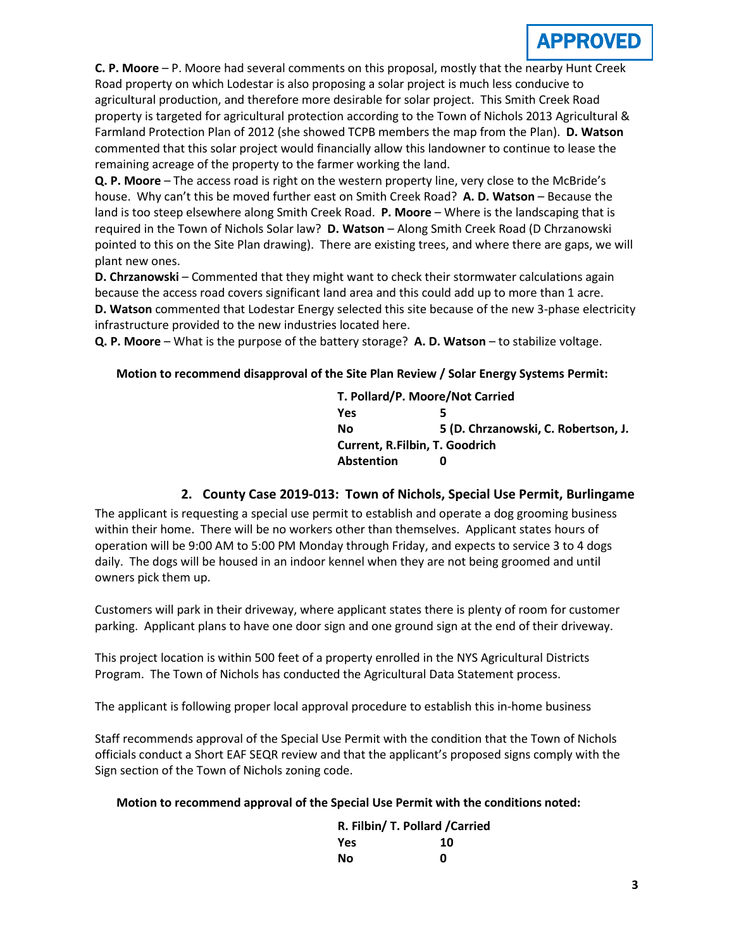

**C. P. Moore** – P. Moore had several comments on this proposal, mostly that the nearby Hunt Creek Road property on which Lodestar is also proposing a solar project is much less conducive to agricultural production, and therefore more desirable for solar project. This Smith Creek Road property is targeted for agricultural protection according to the Town of Nichols 2013 Agricultural & Farmland Protection Plan of 2012 (she showed TCPB members the map from the Plan). **D. Watson** commented that this solar project would financially allow this landowner to continue to lease the remaining acreage of the property to the farmer working the land.

**Q. P. Moore** – The access road is right on the western property line, very close to the McBride's house. Why can't this be moved further east on Smith Creek Road? **A. D. Watson** – Because the land is too steep elsewhere along Smith Creek Road. **P. Moore** – Where is the landscaping that is required in the Town of Nichols Solar law? **D. Watson** – Along Smith Creek Road (D Chrzanowski pointed to this on the Site Plan drawing). There are existing trees, and where there are gaps, we will plant new ones.

**D. Chrzanowski** – Commented that they might want to check their stormwater calculations again because the access road covers significant land area and this could add up to more than 1 acre. **D. Watson** commented that Lodestar Energy selected this site because of the new 3-phase electricity infrastructure provided to the new industries located here.

**Q. P. Moore** – What is the purpose of the battery storage? **A. D. Watson** – to stabilize voltage.

#### **Motion to recommend disapproval of the Site Plan Review / Solar Energy Systems Permit:**

**T. Pollard/P. Moore/Not Carried Yes 5 No 5 (D. Chrzanowski, C. Robertson, J. Current, R.Filbin, T. Goodrich Abstention 0**

#### **2. County Case 2019-013: Town of Nichols, Special Use Permit, Burlingame**

The applicant is requesting a special use permit to establish and operate a dog grooming business within their home. There will be no workers other than themselves. Applicant states hours of operation will be 9:00 AM to 5:00 PM Monday through Friday, and expects to service 3 to 4 dogs daily. The dogs will be housed in an indoor kennel when they are not being groomed and until owners pick them up.

Customers will park in their driveway, where applicant states there is plenty of room for customer parking. Applicant plans to have one door sign and one ground sign at the end of their driveway.

This project location is within 500 feet of a property enrolled in the NYS Agricultural Districts Program. The Town of Nichols has conducted the Agricultural Data Statement process.

The applicant is following proper local approval procedure to establish this in-home business

Staff recommends approval of the Special Use Permit with the condition that the Town of Nichols officials conduct a Short EAF SEQR review and that the applicant's proposed signs comply with the Sign section of the Town of Nichols zoning code.

#### **Motion to recommend approval of the Special Use Permit with the conditions noted:**

| R. Filbin/ T. Pollard / Carried |    |
|---------------------------------|----|
| Yes                             | 10 |
| Nο                              | n  |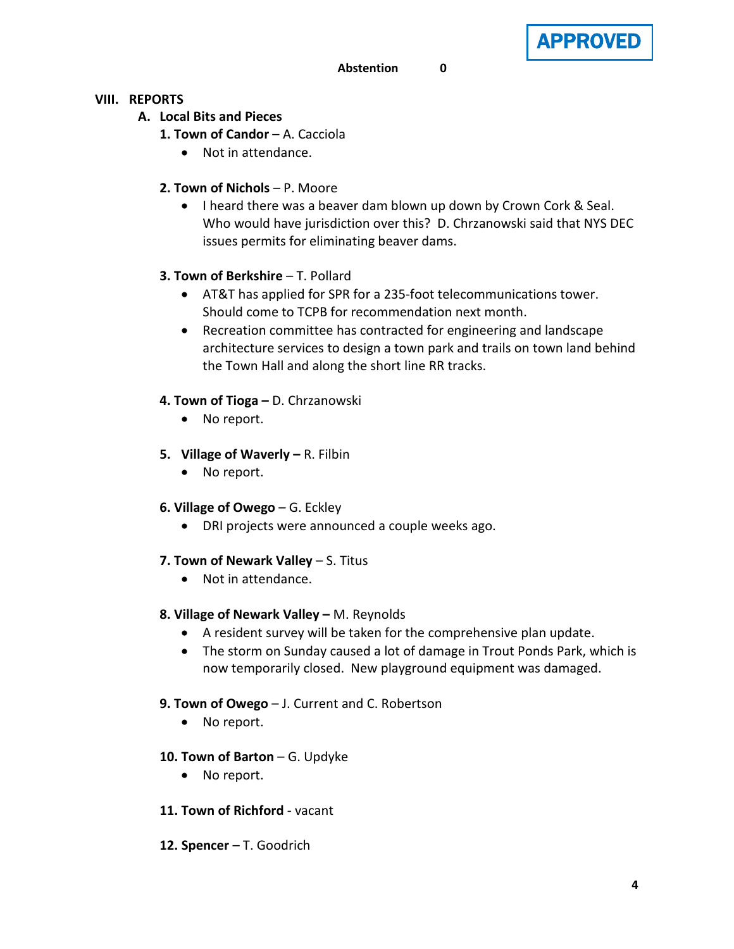

### **VIII. REPORTS**

- **A. Local Bits and Pieces**
	- **1. Town of Candor A. Cacciola** 
		- Not in attendance.
	- **2. Town of Nichols**  P. Moore
		- I heard there was a beaver dam blown up down by Crown Cork & Seal. Who would have jurisdiction over this? D. Chrzanowski said that NYS DEC issues permits for eliminating beaver dams.

## **3. Town of Berkshire** – T. Pollard

- AT&T has applied for SPR for a 235-foot telecommunications tower. Should come to TCPB for recommendation next month.
- Recreation committee has contracted for engineering and landscape architecture services to design a town park and trails on town land behind the Town Hall and along the short line RR tracks.

## **4. Town of Tioga –** D. Chrzanowski

- No report.
- **5. Village of Waverly –** R. Filbin
	- No report.
- **6. Village of Owego** G. Eckley
	- DRI projects were announced a couple weeks ago.
- **7. Town of Newark Valley** S. Titus
	- Not in attendance.
- **8. Village of Newark Valley –** M. Reynolds
	- A resident survey will be taken for the comprehensive plan update.
	- The storm on Sunday caused a lot of damage in Trout Ponds Park, which is now temporarily closed. New playground equipment was damaged.
- **9. Town of Owego** J. Current and C. Robertson
	- No report.
- **10. Town of Barton** G. Updyke
	- No report.
- **11. Town of Richford** vacant
- **12. Spencer** T. Goodrich